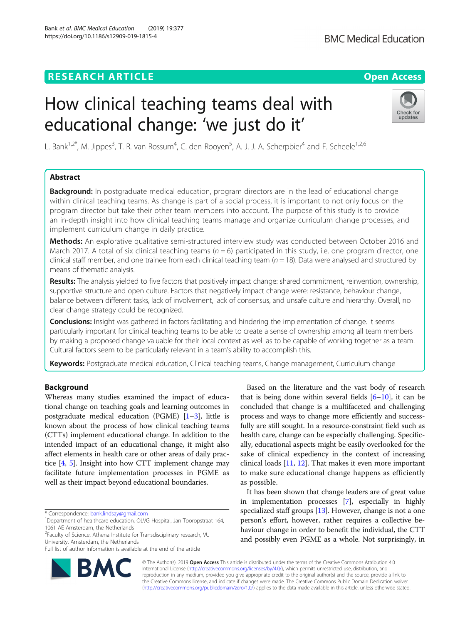# **RESEARCH ARTICLE Example 2014 12:30 The Contract of Contract ACCESS**

# How clinical teaching teams deal with educational change: 'we just do it'

L. Bank<sup>1,2\*</sup>, M. Jippes<sup>3</sup>, T. R. van Rossum<sup>4</sup>, C. den Rooyen<sup>5</sup>, A. J. J. A. Scherpbier<sup>4</sup> and F. Scheele<sup>1,2,6</sup>

# Abstract

**Background:** In postgraduate medical education, program directors are in the lead of educational change within clinical teaching teams. As change is part of a social process, it is important to not only focus on the program director but take their other team members into account. The purpose of this study is to provide an in-depth insight into how clinical teaching teams manage and organize curriculum change processes, and implement curriculum change in daily practice.

Methods: An explorative qualitative semi-structured interview study was conducted between October 2016 and March 2017. A total of six clinical teaching teams ( $n = 6$ ) participated in this study, i.e. one program director, one clinical staff member, and one trainee from each clinical teaching team  $(n = 18)$ . Data were analysed and structured by means of thematic analysis.

Results: The analysis yielded to five factors that positively impact change: shared commitment, reinvention, ownership, supportive structure and open culture. Factors that negatively impact change were: resistance, behaviour change, balance between different tasks, lack of involvement, lack of consensus, and unsafe culture and hierarchy. Overall, no clear change strategy could be recognized.

**Conclusions:** Insight was gathered in factors facilitating and hindering the implementation of change. It seems particularly important for clinical teaching teams to be able to create a sense of ownership among all team members by making a proposed change valuable for their local context as well as to be capable of working together as a team. Cultural factors seem to be particularly relevant in a team's ability to accomplish this.

Keywords: Postgraduate medical education, Clinical teaching teams, Change management, Curriculum change

# Background

Whereas many studies examined the impact of educational change on teaching goals and learning outcomes in postgraduate medical education (PGME)  $[1-3]$  $[1-3]$  $[1-3]$ , little is known about the process of how clinical teaching teams (CTTs) implement educational change. In addition to the intended impact of an educational change, it might also affect elements in health care or other areas of daily practice [\[4](#page-7-0), [5\]](#page-7-0). Insight into how CTT implement change may facilitate future implementation processes in PGME as well as their impact beyond educational boundaries.

<sup>1</sup>Department of healthcare education, OLVG Hospital, Jan Tooropstraat 164, 1061 AE Amsterdam, the Netherlands

University, Amsterdam, the Netherlands

© The Author(s). 2019 Open Access This article is distributed under the terms of the Creative Commons Attribution 4.0 International License [\(http://creativecommons.org/licenses/by/4.0/](http://creativecommons.org/licenses/by/4.0/)), which permits unrestricted use, distribution, and reproduction in any medium, provided you give appropriate credit to the original author(s) and the source, provide a link to the Creative Commons license, and indicate if changes were made. The Creative Commons Public Domain Dedication waiver [\(http://creativecommons.org/publicdomain/zero/1.0/](http://creativecommons.org/publicdomain/zero/1.0/)) applies to the data made available in this article, unless otherwise stated.

as possible.

Based on the literature and the vast body of research that is being done within several fields  $[6-10]$  $[6-10]$  $[6-10]$ , it can be concluded that change is a multifaceted and challenging process and ways to change more efficiently and successfully are still sought. In a resource-constraint field such as health care, change can be especially challenging. Specifically, educational aspects might be easily overlooked for the sake of clinical expediency in the context of increasing clinical loads [\[11](#page-7-0), [12\]](#page-7-0). That makes it even more important to make sure educational change happens as efficiently

It has been shown that change leaders are of great value in implementation processes [[7\]](#page-7-0), especially in highly specialized staff groups [[13](#page-7-0)]. However, change is not a one person's effort, however, rather requires a collective behaviour change in order to benefit the individual, the CTT and possibly even PGME as a whole. Not surprisingly, in

<sup>2</sup> Faculty of Science, Athena Institute for Transdisciplinary research, VU







<sup>\*</sup> Correspondence: [bank.lindsay@gmail.com](mailto:bank.lindsay@gmail.com) <sup>1</sup>

Full list of author information is available at the end of the article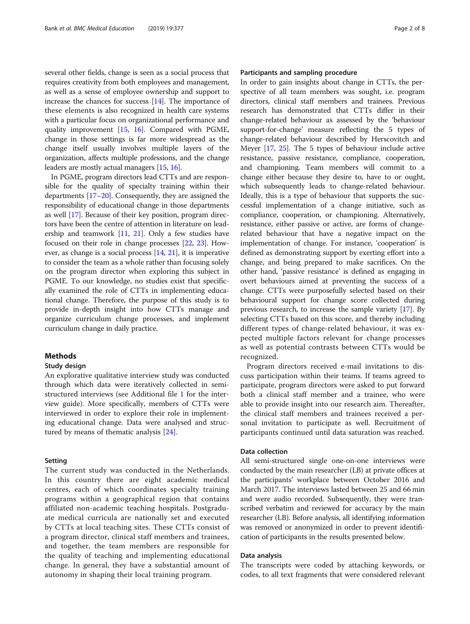several other fields, change is seen as a social process that requires creativity from both employees and management, as well as a sense of employee ownership and support to increase the chances for success [\[14\]](#page-7-0). The importance of these elements is also recognized in health care systems with a particular focus on organizational performance and quality improvement [\[15,](#page-7-0) [16](#page-7-0)]. Compared with PGME, change in those settings is far more widespread as the change itself usually involves multiple layers of the organization, affects multiple professions, and the change leaders are mostly actual managers [[15](#page-7-0), [16\]](#page-7-0).

In PGME, program directors lead CTTs and are responsible for the quality of specialty training within their departments [[17](#page-7-0)–[20\]](#page-7-0). Consequently, they are assigned the responsibility of educational change in those departments as well [\[17\]](#page-7-0). Because of their key position, program directors have been the centre of attention in literature on leadership and teamwork [[11](#page-7-0), [21\]](#page-7-0). Only a few studies have focused on their role in change processes [\[22,](#page-7-0) [23\]](#page-7-0). However, as change is a social process [\[14,](#page-7-0) [21](#page-7-0)], it is imperative to consider the team as a whole rather than focusing solely on the program director when exploring this subject in PGME. To our knowledge, no studies exist that specifically examined the role of CTTs in implementing educational change. Therefore, the purpose of this study is to provide in-depth insight into how CTTs manage and organize curriculum change processes, and implement curriculum change in daily practice.

# **Methods**

## Study design

An explorative qualitative interview study was conducted through which data were iteratively collected in semistructured interviews (see Additional file [1](#page-6-0) for the interview guide). More specifically, members of CTTs were interviewed in order to explore their role in implementing educational change. Data were analysed and structured by means of thematic analysis [[24\]](#page-7-0).

## Setting

The current study was conducted in the Netherlands. In this country there are eight academic medical centres, each of which coordinates specialty training programs within a geographical region that contains affiliated non-academic teaching hospitals. Postgraduate medical curricula are nationally set and executed by CTTs at local teaching sites. These CTTs consist of a program director, clinical staff members and trainees, and together, the team members are responsible for the quality of teaching and implementing educational change. In general, they have a substantial amount of autonomy in shaping their local training program.

# Participants and sampling procedure

In order to gain insights about change in CTTs, the perspective of all team members was sought, i.e. program directors, clinical staff members and trainees. Previous research has demonstrated that CTTs differ in their change-related behaviour as assessed by the 'behaviour support-for-change' measure reflecting the 5 types of change-related behaviour described by Herscovitch and Meyer [[17](#page-7-0), [25](#page-7-0)]. The 5 types of behaviour include active resistance, passive resistance, compliance, cooperation, and championing. Team members will commit to a change either because they desire to, have to or ought, which subsequently leads to change-related behaviour. Ideally, this is a type of behaviour that supports the successful implementation of a change initiative, such as compliance, cooperation, or championing. Alternatively, resistance, either passive or active, are forms of changerelated behaviour that have a negative impact on the implementation of change. For instance, 'cooperation' is defined as demonstrating support by exerting effort into a change, and being prepared to make sacrifices. On the other hand, 'passive resistance' is defined as engaging in overt behaviours aimed at preventing the success of a change. CTTs were purposefully selected based on their behavioural support for change score collected during previous research, to increase the sample variety [\[17\]](#page-7-0). By selecting CTTs based on this score, and thereby including different types of change-related behaviour, it was expected multiple factors relevant for change processes as well as potential contrasts between CTTs would be recognized.

Program directors received e-mail invitations to discuss participation within their teams. If teams agreed to participate, program directors were asked to put forward both a clinical staff member and a trainee, who were able to provide insight into our research aim. Thereafter, the clinical staff members and trainees received a personal invitation to participate as well. Recruitment of participants continued until data saturation was reached.

# Data collection

All semi-structured single one-on-one interviews were conducted by the main researcher (LB) at private offices at the participants' workplace between October 2016 and March 2017. The interviews lasted between 25 and 66 min and were audio recorded. Subsequently, they were transcribed verbatim and reviewed for accuracy by the main researcher (LB). Before analysis, all identifying information was removed or anonymized in order to prevent identification of participants in the results presented below.

# Data analysis

The transcripts were coded by attaching keywords, or codes, to all text fragments that were considered relevant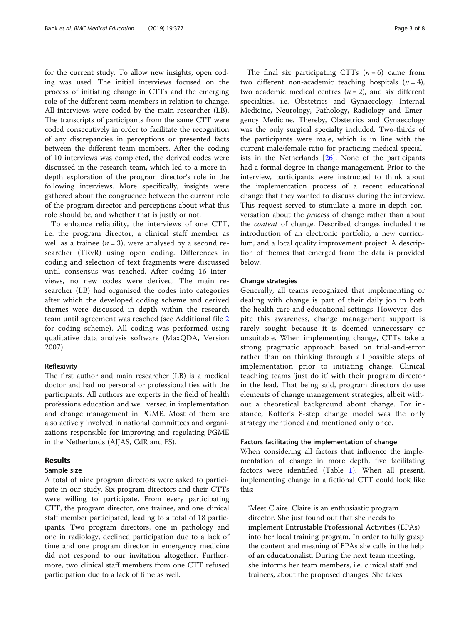for the current study. To allow new insights, open coding was used. The initial interviews focused on the process of initiating change in CTTs and the emerging role of the different team members in relation to change. All interviews were coded by the main researcher (LB). The transcripts of participants from the same CTT were coded consecutively in order to facilitate the recognition of any discrepancies in perceptions or presented facts between the different team members. After the coding of 10 interviews was completed, the derived codes were discussed in the research team, which led to a more indepth exploration of the program director's role in the following interviews. More specifically, insights were gathered about the congruence between the current role of the program director and perceptions about what this role should be, and whether that is justly or not.

To enhance reliability, the interviews of one CTT, i.e. the program director, a clinical staff member as well as a trainee ( $n = 3$ ), were analysed by a second researcher (TRvR) using open coding. Differences in coding and selection of text fragments were discussed until consensus was reached. After coding 16 interviews, no new codes were derived. The main researcher (LB) had organised the codes into categories after which the developed coding scheme and derived themes were discussed in depth within the research team until agreement was reached (see Additional file [2](#page-6-0) for coding scheme). All coding was performed using qualitative data analysis software (MaxQDA, Version 2007).

# Reflexivity

The first author and main researcher (LB) is a medical doctor and had no personal or professional ties with the participants. All authors are experts in the field of health professions education and well versed in implementation and change management in PGME. Most of them are also actively involved in national committees and organizations responsible for improving and regulating PGME in the Netherlands (AJJAS, CdR and FS).

# Results

#### Sample size

A total of nine program directors were asked to participate in our study. Six program directors and their CTTs were willing to participate. From every participating CTT, the program director, one trainee, and one clinical staff member participated, leading to a total of 18 participants. Two program directors, one in pathology and one in radiology, declined participation due to a lack of time and one program director in emergency medicine did not respond to our invitation altogether. Furthermore, two clinical staff members from one CTT refused participation due to a lack of time as well.

The final six participating CTTs  $(n = 6)$  came from two different non-academic teaching hospitals  $(n = 4)$ , two academic medical centres  $(n = 2)$ , and six different specialties, i.e. Obstetrics and Gynaecology, Internal Medicine, Neurology, Pathology, Radiology and Emergency Medicine. Thereby, Obstetrics and Gynaecology was the only surgical specialty included. Two-thirds of the participants were male, which is in line with the current male/female ratio for practicing medical specialists in the Netherlands [\[26\]](#page-7-0). None of the participants had a formal degree in change management. Prior to the interview, participants were instructed to think about the implementation process of a recent educational change that they wanted to discuss during the interview. This request served to stimulate a more in-depth conversation about the process of change rather than about the content of change. Described changes included the introduction of an electronic portfolio, a new curriculum, and a local quality improvement project. A description of themes that emerged from the data is provided below.

## Change strategies

Generally, all teams recognized that implementing or dealing with change is part of their daily job in both the health care and educational settings. However, despite this awareness, change management support is rarely sought because it is deemed unnecessary or unsuitable. When implementing change, CTTs take a strong pragmatic approach based on trial-and-error rather than on thinking through all possible steps of implementation prior to initiating change. Clinical teaching teams 'just do it' with their program director in the lead. That being said, program directors do use elements of change management strategies, albeit without a theoretical background about change. For instance, Kotter's 8-step change model was the only strategy mentioned and mentioned only once.

#### Factors facilitating the implementation of change

When considering all factors that influence the implementation of change in more depth, five facilitating factors were identified (Table [1\)](#page-3-0). When all present, implementing change in a fictional CTT could look like this:

'Meet Claire. Claire is an enthusiastic program director. She just found out that she needs to implement Entrustable Professional Activities (EPAs) into her local training program. In order to fully grasp the content and meaning of EPAs she calls in the help of an educationalist. During the next team meeting, she informs her team members, i.e. clinical staff and trainees, about the proposed changes. She takes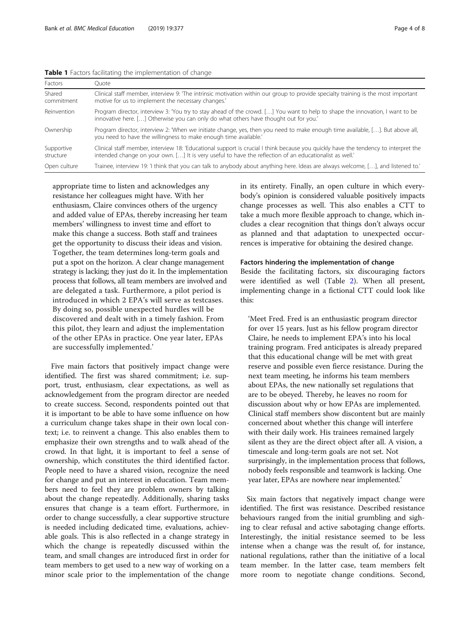<span id="page-3-0"></span>

| Factors                 | Quote                                                                                                                                                                                                                                         |
|-------------------------|-----------------------------------------------------------------------------------------------------------------------------------------------------------------------------------------------------------------------------------------------|
| Shared<br>commitment    | Clinical staff member, interview 9: The intrinsic motivation within our group to provide specialty training is the most important<br>motive for us to implement the necessary changes.'                                                       |
| Reinvention             | Program director, interview 3: 'You try to stay ahead of the crowd. [] You want to help to shape the innovation, I want to be<br>innovative here. [] Otherwise you can only do what others have thought out for you.                          |
| Ownership               | Program director, interview 2: 'When we initiate change, yes, then you need to make enough time available, []. But above all,<br>you need to have the willingness to make enough time available.                                              |
| Supportive<br>structure | Clinical staff member, interview 18: 'Educational support is crucial I think because you quickly have the tendency to interpret the<br>intended change on your own. [] It is very useful to have the reflection of an educationalist as well. |
| Open culture            | Trainee, interview 19: 'I think that you can talk to anybody about anything here. Ideas are always welcome, [], and listened to.'                                                                                                             |

appropriate time to listen and acknowledges any resistance her colleagues might have. With her enthusiasm, Claire convinces others of the urgency and added value of EPAs, thereby increasing her team members' willingness to invest time and effort to make this change a success. Both staff and trainees get the opportunity to discuss their ideas and vision. Together, the team determines long-term goals and put a spot on the horizon. A clear change management strategy is lacking; they just do it. In the implementation process that follows, all team members are involved and are delegated a task. Furthermore, a pilot period is introduced in which 2 EPA's will serve as testcases. By doing so, possible unexpected hurdles will be discovered and dealt with in a timely fashion. From this pilot, they learn and adjust the implementation of the other EPAs in practice. One year later, EPAs are successfully implemented.'

Five main factors that positively impact change were identified. The first was shared commitment; i.e. support, trust, enthusiasm, clear expectations, as well as acknowledgement from the program director are needed to create success. Second, respondents pointed out that it is important to be able to have some influence on how a curriculum change takes shape in their own local context; i.e. to reinvent a change. This also enables them to emphasize their own strengths and to walk ahead of the crowd. In that light, it is important to feel a sense of ownership, which constitutes the third identified factor. People need to have a shared vision, recognize the need for change and put an interest in education. Team members need to feel they are problem owners by talking about the change repeatedly. Additionally, sharing tasks ensures that change is a team effort. Furthermore, in order to change successfully, a clear supportive structure is needed including dedicated time, evaluations, achievable goals. This is also reflected in a change strategy in which the change is repeatedly discussed within the team, and small changes are introduced first in order for team members to get used to a new way of working on a minor scale prior to the implementation of the change in its entirety. Finally, an open culture in which everybody's opinion is considered valuable positively impacts change processes as well. This also enables a CTT to take a much more flexible approach to change, which includes a clear recognition that things don't always occur as planned and that adaptation to unexpected occurrences is imperative for obtaining the desired change.

#### Factors hindering the implementation of change

Beside the facilitating factors, six discouraging factors were identified as well (Table [2](#page-4-0)). When all present, implementing change in a fictional CTT could look like this:

'Meet Fred. Fred is an enthusiastic program director for over 15 years. Just as his fellow program director Claire, he needs to implement EPA's into his local training program. Fred anticipates is already prepared that this educational change will be met with great reserve and possible even fierce resistance. During the next team meeting, he informs his team members about EPAs, the new nationally set regulations that are to be obeyed. Thereby, he leaves no room for discussion about why or how EPAs are implemented. Clinical staff members show discontent but are mainly concerned about whether this change will interfere with their daily work. His trainees remained largely silent as they are the direct object after all. A vision, a timescale and long-term goals are not set. Not surprisingly, in the implementation process that follows, nobody feels responsible and teamwork is lacking. One year later, EPAs are nowhere near implemented.'

Six main factors that negatively impact change were identified. The first was resistance. Described resistance behaviours ranged from the initial grumbling and sighing to clear refusal and active sabotaging change efforts. Interestingly, the initial resistance seemed to be less intense when a change was the result of, for instance, national regulations, rather than the initiative of a local team member. In the latter case, team members felt more room to negotiate change conditions. Second,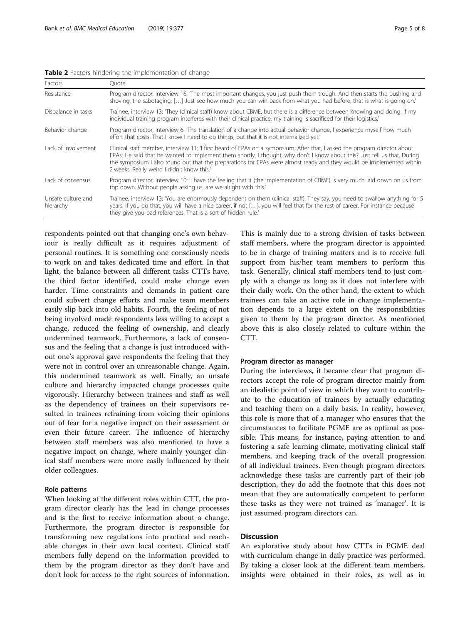<span id="page-4-0"></span>Table 2 Factors hindering the implementation of change

| Factors                         | Ouote                                                                                                                                                                                                                                                                                                                                                                                                                         |
|---------------------------------|-------------------------------------------------------------------------------------------------------------------------------------------------------------------------------------------------------------------------------------------------------------------------------------------------------------------------------------------------------------------------------------------------------------------------------|
| Resistance                      | Program director, interview 16: The most important changes, you just push them trough. And then starts the pushing and<br>shoving, the sabotaging. [] Just see how much you can win back from what you had before, that is what is going on.'                                                                                                                                                                                 |
| Disbalance in tasks             | Trainee, interview 13: They (clinical staff) know about CBME, but there is a difference between knowing and doing. If my<br>individual training program interferes with their clinical practice, my training is sacrificed for their logistics.                                                                                                                                                                               |
| Behavior change                 | Program director, interview 6: The translation of a change into actual behavior change, I experience myself how much<br>effort that costs. That I know I need to do things, but that it is not internalized yet.                                                                                                                                                                                                              |
| Lack of involvement             | Clinical staff member, interview 11: 'I first heard of EPAs on a symposium. After that, I asked the program director about<br>EPAs. He said that he wanted to implement them shortly. I thought, why don't I know about this? Just tell us that. During<br>the symposium I also found out that the preparations for EPAs were almost ready and they would be implemented within<br>2 weeks. Really weird I didn't know this.' |
| Lack of consensus               | Program director, interview 10: 'I have the feeling that it (the implementation of CBME) is very much laid down on us from<br>top down. Without people asking us, are we alright with this.'                                                                                                                                                                                                                                  |
| Unsafe culture and<br>hierarchy | Trainee, interview 13: 'You are enormously dependent on them (clinical staff). They say, you need to swallow anything for 5<br>years. If you do that, you will have a nice career, if not [], you will feel that for the rest of career. For instance because<br>they give you bad references. That is a sort of hidden rule.                                                                                                 |

respondents pointed out that changing one's own behaviour is really difficult as it requires adjustment of personal routines. It is something one consciously needs to work on and takes dedicated time and effort. In that light, the balance between all different tasks CTTs have, the third factor identified, could make change even harder. Time constraints and demands in patient care could subvert change efforts and make team members easily slip back into old habits. Fourth, the feeling of not being involved made respondents less willing to accept a change, reduced the feeling of ownership, and clearly undermined teamwork. Furthermore, a lack of consensus and the feeling that a change is just introduced without one's approval gave respondents the feeling that they were not in control over an unreasonable change. Again, this undermined teamwork as well. Finally, an unsafe culture and hierarchy impacted change processes quite vigorously. Hierarchy between trainees and staff as well as the dependency of trainees on their supervisors resulted in trainees refraining from voicing their opinions out of fear for a negative impact on their assessment or even their future career. The influence of hierarchy between staff members was also mentioned to have a negative impact on change, where mainly younger clinical staff members were more easily influenced by their older colleagues.

# Role patterns

When looking at the different roles within CTT, the program director clearly has the lead in change processes and is the first to receive information about a change. Furthermore, the program director is responsible for transforming new regulations into practical and reachable changes in their own local context. Clinical staff members fully depend on the information provided to them by the program director as they don't have and don't look for access to the right sources of information. This is mainly due to a strong division of tasks between staff members, where the program director is appointed to be in charge of training matters and is to receive full support from his/her team members to perform this task. Generally, clinical staff members tend to just comply with a change as long as it does not interfere with their daily work. On the other hand, the extent to which trainees can take an active role in change implementation depends to a large extent on the responsibilities given to them by the program director. As mentioned above this is also closely related to culture within the CTT.

# Program director as manager

During the interviews, it became clear that program directors accept the role of program director mainly from an idealistic point of view in which they want to contribute to the education of trainees by actually educating and teaching them on a daily basis. In reality, however, this role is more that of a manager who ensures that the circumstances to facilitate PGME are as optimal as possible. This means, for instance, paying attention to and fostering a safe learning climate, motivating clinical staff members, and keeping track of the overall progression of all individual trainees. Even though program directors acknowledge these tasks are currently part of their job description, they do add the footnote that this does not mean that they are automatically competent to perform these tasks as they were not trained as 'manager'. It is just assumed program directors can.

# **Discussion**

An explorative study about how CTTs in PGME deal with curriculum change in daily practice was performed. By taking a closer look at the different team members, insights were obtained in their roles, as well as in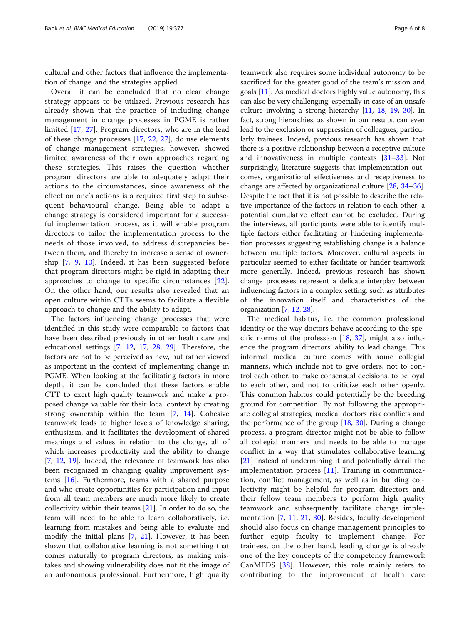cultural and other factors that influence the implementation of change, and the strategies applied.

Overall it can be concluded that no clear change strategy appears to be utilized. Previous research has already shown that the practice of including change management in change processes in PGME is rather limited [[17,](#page-7-0) [27](#page-7-0)]. Program directors, who are in the lead of these change processes [\[17](#page-7-0), [22,](#page-7-0) [27\]](#page-7-0), do use elements of change management strategies, however, showed limited awareness of their own approaches regarding these strategies. This raises the question whether program directors are able to adequately adapt their actions to the circumstances, since awareness of the effect on one's actions is a required first step to subsequent behavioural change. Being able to adapt a change strategy is considered important for a successful implementation process, as it will enable program directors to tailor the implementation process to the needs of those involved, to address discrepancies between them, and thereby to increase a sense of ownership [\[7](#page-7-0), [9,](#page-7-0) [10](#page-7-0)]. Indeed, it has been suggested before that program directors might be rigid in adapting their approaches to change to specific circumstances [[22](#page-7-0)]. On the other hand, our results also revealed that an open culture within CTTs seems to facilitate a flexible approach to change and the ability to adapt.

The factors influencing change processes that were identified in this study were comparable to factors that have been described previously in other health care and educational settings [[7,](#page-7-0) [12](#page-7-0), [17](#page-7-0), [28](#page-7-0), [29\]](#page-7-0). Therefore, the factors are not to be perceived as new, but rather viewed as important in the context of implementing change in PGME. When looking at the facilitating factors in more depth, it can be concluded that these factors enable CTT to exert high quality teamwork and make a proposed change valuable for their local context by creating strong ownership within the team [[7,](#page-7-0) [14](#page-7-0)]. Cohesive teamwork leads to higher levels of knowledge sharing, enthusiasm, and it facilitates the development of shared meanings and values in relation to the change, all of which increases productivity and the ability to change [[7,](#page-7-0) [12,](#page-7-0) [19\]](#page-7-0). Indeed, the relevance of teamwork has also been recognized in changing quality improvement systems [[16](#page-7-0)]. Furthermore, teams with a shared purpose and who create opportunities for participation and input from all team members are much more likely to create collectivity within their teams [\[21](#page-7-0)]. In order to do so, the team will need to be able to learn collaboratively, i.e. learning from mistakes and being able to evaluate and modify the initial plans [[7,](#page-7-0) [21\]](#page-7-0). However, it has been shown that collaborative learning is not something that comes naturally to program directors, as making mistakes and showing vulnerability does not fit the image of an autonomous professional. Furthermore, high quality

teamwork also requires some individual autonomy to be sacrificed for the greater good of the team's mission and goals [[11](#page-7-0)]. As medical doctors highly value autonomy, this can also be very challenging, especially in case of an unsafe culture involving a strong hierarchy [\[11,](#page-7-0) [18,](#page-7-0) [19](#page-7-0), [30](#page-7-0)]. In fact, strong hierarchies, as shown in our results, can even lead to the exclusion or suppression of colleagues, particularly trainees. Indeed, previous research has shown that there is a positive relationship between a receptive culture and innovativeness in multiple contexts [\[31](#page-7-0)–[33\]](#page-7-0). Not surprisingly, literature suggests that implementation outcomes, organizational effectiveness and receptiveness to change are affected by organizational culture [\[28,](#page-7-0) [34](#page-7-0)–[36](#page-7-0)]. Despite the fact that it is not possible to describe the relative importance of the factors in relation to each other, a potential cumulative effect cannot be excluded. During the interviews, all participants were able to identify multiple factors either facilitating or hindering implementation processes suggesting establishing change is a balance between multiple factors. Moreover, cultural aspects in particular seemed to either facilitate or hinder teamwork more generally. Indeed, previous research has shown change processes represent a delicate interplay between influencing factors in a complex setting, such as attributes of the innovation itself and characteristics of the organization [\[7,](#page-7-0) [12](#page-7-0), [28\]](#page-7-0).

The medical habitus, i.e. the common professional identity or the way doctors behave according to the specific norms of the profession  $[18, 37]$  $[18, 37]$  $[18, 37]$  $[18, 37]$  $[18, 37]$ , might also influence the program directors' ability to lead change. This informal medical culture comes with some collegial manners, which include not to give orders, not to control each other, to make consensual decisions, to be loyal to each other, and not to criticize each other openly. This common habitus could potentially be the breeding ground for competition. By not following the appropriate collegial strategies, medical doctors risk conflicts and the performance of the group  $[18, 30]$  $[18, 30]$  $[18, 30]$ . During a change process, a program director might not be able to follow all collegial manners and needs to be able to manage conflict in a way that stimulates collaborative learning [[21\]](#page-7-0) instead of undermining it and potentially derail the implementation process [[11\]](#page-7-0). Training in communication, conflict management, as well as in building collectivity might be helpful for program directors and their fellow team members to perform high quality teamwork and subsequently facilitate change implementation [[7,](#page-7-0) [11,](#page-7-0) [21](#page-7-0), [30](#page-7-0)]. Besides, faculty development should also focus on change management principles to further equip faculty to implement change. For trainees, on the other hand, leading change is already one of the key concepts of the competency framework CanMEDS [[38\]](#page-7-0). However, this role mainly refers to contributing to the improvement of health care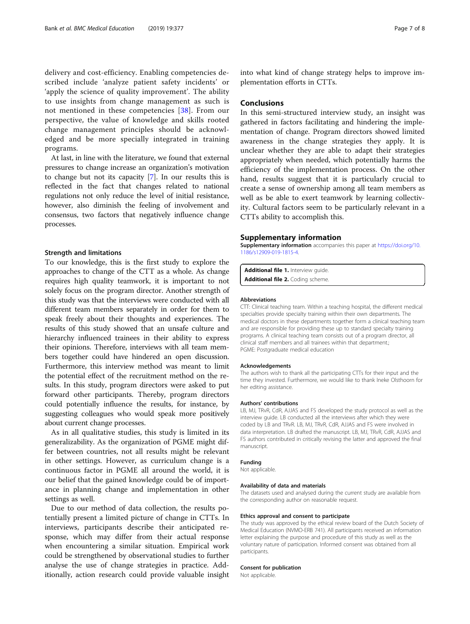<span id="page-6-0"></span>delivery and cost-efficiency. Enabling competencies described include 'analyze patient safety incidents' or 'apply the science of quality improvement'. The ability to use insights from change management as such is not mentioned in these competencies [[38\]](#page-7-0). From our perspective, the value of knowledge and skills rooted change management principles should be acknowledged and be more specially integrated in training programs.

At last, in line with the literature, we found that external pressures to change increase an organization's motivation to change but not its capacity [\[7\]](#page-7-0). In our results this is reflected in the fact that changes related to national regulations not only reduce the level of initial resistance, however, also diminish the feeling of involvement and consensus, two factors that negatively influence change processes.

# Strength and limitations

To our knowledge, this is the first study to explore the approaches to change of the CTT as a whole. As change requires high quality teamwork, it is important to not solely focus on the program director. Another strength of this study was that the interviews were conducted with all different team members separately in order for them to speak freely about their thoughts and experiences. The results of this study showed that an unsafe culture and hierarchy influenced trainees in their ability to express their opinions. Therefore, interviews with all team members together could have hindered an open discussion. Furthermore, this interview method was meant to limit the potential effect of the recruitment method on the results. In this study, program directors were asked to put forward other participants. Thereby, program directors could potentially influence the results, for instance, by suggesting colleagues who would speak more positively about current change processes.

As in all qualitative studies, this study is limited in its generalizability. As the organization of PGME might differ between countries, not all results might be relevant in other settings. However, as curriculum change is a continuous factor in PGME all around the world, it is our belief that the gained knowledge could be of importance in planning change and implementation in other settings as well.

Due to our method of data collection, the results potentially present a limited picture of change in CTTs. In interviews, participants describe their anticipated response, which may differ from their actual response when encountering a similar situation. Empirical work could be strengthened by observational studies to further analyse the use of change strategies in practice. Additionally, action research could provide valuable insight

into what kind of change strategy helps to improve implementation efforts in CTTs.

# Conclusions

In this semi-structured interview study, an insight was gathered in factors facilitating and hindering the implementation of change. Program directors showed limited awareness in the change strategies they apply. It is unclear whether they are able to adapt their strategies appropriately when needed, which potentially harms the efficiency of the implementation process. On the other hand, results suggest that it is particularly crucial to create a sense of ownership among all team members as well as be able to exert teamwork by learning collectivity. Cultural factors seem to be particularly relevant in a CTTs ability to accomplish this.

#### Supplementary information

Supplementary information accompanies this paper at [https://doi.org/10.](https://doi.org/10.1186/s12909-019-1815-4) [1186/s12909-019-1815-4.](https://doi.org/10.1186/s12909-019-1815-4)

Additional file 1. Interview guide Additional file 2. Coding scheme.

#### Abbreviations

CTT: Clinical teaching team. Within a teaching hospital, the different medical specialties provide specialty training within their own departments. The medical doctors in these departments together form a clinical teaching team and are responsible for providing these up to standard specialty training programs. A clinical teaching team consists out of a program director, all clinical staff members and all trainees within that department.; PGME: Postgraduate medical education

#### Acknowledgements

The authors wish to thank all the participating CTTs for their input and the time they invested. Furthermore, we would like to thank Ineke Olsthoorn for her editing assistance.

#### Authors' contributions

LB, MJ, TRvR, CdR, AJJAS and FS developed the study protocol as well as the interview guide. LB conducted all the interviews after which they were coded by LB and TRvR. LB, MJ, TRvR, CdR, AJJAS and FS were involved in data interpretation. LB drafted the manuscript. LB, MJ, TRvR, CdR, AJJAS and FS authors contributed in critically revising the latter and approved the final manuscript.

#### Funding

Not applicable.

#### Availability of data and materials

The datasets used and analysed during the current study are available from the corresponding author on reasonable request.

#### Ethics approval and consent to participate

The study was approved by the ethical review board of the Dutch Society of Medical Education (NVMO-ERB 741). All participants received an information letter explaining the purpose and procedure of this study as well as the voluntary nature of participation. Informed consent was obtained from all participants.

## Consent for publication

Not applicable.